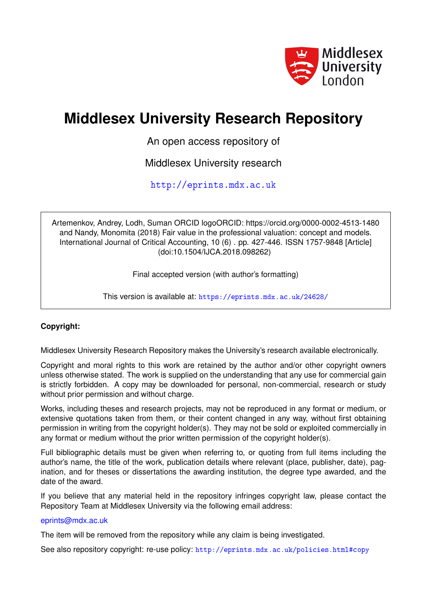

# **Middlesex University Research Repository**

An open access repository of

Middlesex University research

<http://eprints.mdx.ac.uk>

Artemenkov, Andrey, Lodh, Suman ORCID logoORCID: https://orcid.org/0000-0002-4513-1480 and Nandy, Monomita (2018) Fair value in the professional valuation: concept and models. International Journal of Critical Accounting, 10 (6) . pp. 427-446. ISSN 1757-9848 [Article] (doi:10.1504/IJCA.2018.098262)

Final accepted version (with author's formatting)

This version is available at: <https://eprints.mdx.ac.uk/24628/>

# **Copyright:**

Middlesex University Research Repository makes the University's research available electronically.

Copyright and moral rights to this work are retained by the author and/or other copyright owners unless otherwise stated. The work is supplied on the understanding that any use for commercial gain is strictly forbidden. A copy may be downloaded for personal, non-commercial, research or study without prior permission and without charge.

Works, including theses and research projects, may not be reproduced in any format or medium, or extensive quotations taken from them, or their content changed in any way, without first obtaining permission in writing from the copyright holder(s). They may not be sold or exploited commercially in any format or medium without the prior written permission of the copyright holder(s).

Full bibliographic details must be given when referring to, or quoting from full items including the author's name, the title of the work, publication details where relevant (place, publisher, date), pagination, and for theses or dissertations the awarding institution, the degree type awarded, and the date of the award.

If you believe that any material held in the repository infringes copyright law, please contact the Repository Team at Middlesex University via the following email address:

# [eprints@mdx.ac.uk](mailto:eprints@mdx.ac.uk)

The item will be removed from the repository while any claim is being investigated.

See also repository copyright: re-use policy: <http://eprints.mdx.ac.uk/policies.html#copy>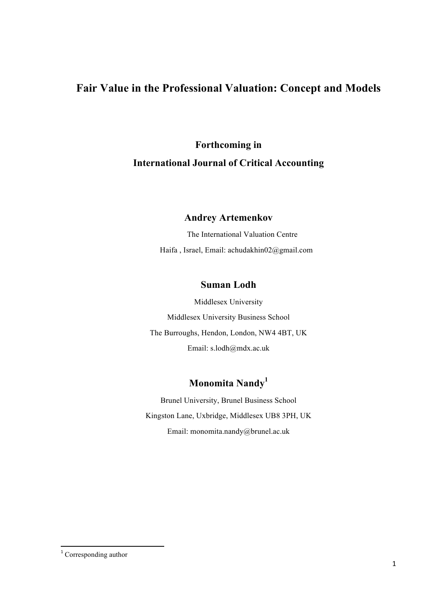# **Fair Value in the Professional Valuation: Concept and Models**

**Forthcoming in International Journal of Critical Accounting**

# **Andrey Artemenkov**

 The International Valuation Centre Haifa , Israel, Email: achudakhin02@gmail.com

# **Suman Lodh**

Middlesex University Middlesex University Business School The Burroughs, Hendon, London, NW4 4BT, UK Email: s.lodh@mdx.ac.uk

# **Monomita Nandy<sup>1</sup>**

Brunel University, Brunel Business School Kingston Lane, Uxbridge, Middlesex UB8 3PH, UK Email: monomita.nandy@brunel.ac.uk

<sup>&</sup>lt;sup>1</sup> Corresponding author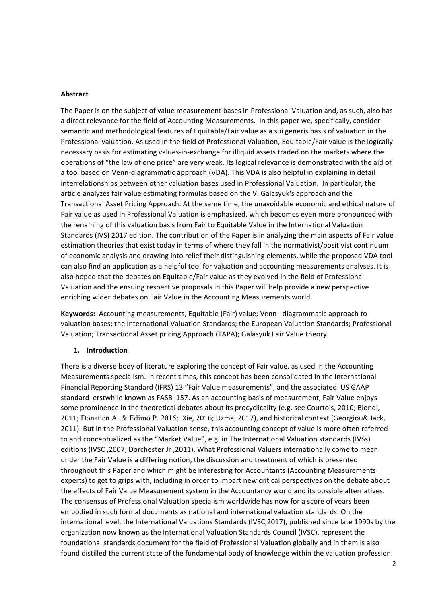#### **Abstract**

The Paper is on the subject of value measurement bases in Professional Valuation and, as such, also has a direct relevance for the field of Accounting Measurements. In this paper we, specifically, consider semantic and methodological features of Equitable/Fair value as a sui generis basis of valuation in the Professional valuation. As used in the field of Professional Valuation, Equitable/Fair value is the logically necessary basis for estimating values-in-exchange for illiquid assets traded on the markets where the operations of "the law of one price" are very weak. Its logical relevance is demonstrated with the aid of a tool based on Venn-diagrammatic approach (VDA). This VDA is also helpful in explaining in detail interrelationships between other valuation bases used in Professional Valuation. In particular, the article analyzes fair value estimating formulas based on the V. Galasyuk's approach and the Transactional Asset Pricing Approach. At the same time, the unavoidable economic and ethical nature of Fair value as used in Professional Valuation is emphasized, which becomes even more pronounced with the renaming of this valuation basis from Fair to Equitable Value in the International Valuation Standards (IVS) 2017 edition. The contribution of the Paper is in analyzing the main aspects of Fair value estimation theories that exist today in terms of where they fall in the normativist/positivist continuum of economic analysis and drawing into relief their distinguishing elements, while the proposed VDA tool can also find an application as a helpful tool for valuation and accounting measurements analyses. It is also hoped that the debates on Equitable/Fair value as they evolved in the field of Professional Valuation and the ensuing respective proposals in this Paper will help provide a new perspective enriching wider debates on Fair Value in the Accounting Measurements world.

**Keywords:** Accounting measurements, Equitable (Fair) value; Venn -diagrammatic approach to valuation bases; the International Valuation Standards; the European Valuation Standards; Professional Valuation; Transactional Asset pricing Approach (TAPA); Galasyuk Fair Value theory.

#### **1. Introduction**

There is a diverse body of literature exploring the concept of Fair value, as used In the Accounting Measurements specialism. In recent times, this concept has been consolidated in the International Financial Reporting Standard (IFRS) 13 "Fair Value measurements", and the associated US GAAP standard erstwhile known as FASB 157. As an accounting basis of measurement, Fair Value enjoys some prominence in the theoretical debates about its procyclicality (e.g. see Courtois, 2010; Biondi, 2011; Donatien A. & Edimo P. 2015; Xie, 2016; Uzma, 2017), and historical context (Georgiou& Jack, 2011). But in the Professional Valuation sense, this accounting concept of value is more often referred to and conceptualized as the "Market Value", e.g. in The International Valuation standards (IVSs) editions (IVSC, 2007; Dorchester Jr, 2011). What Professional Valuers internationally come to mean under the Fair Value is a differing notion, the discussion and treatment of which is presented throughout this Paper and which might be interesting for Accountants (Accounting Measurements experts) to get to grips with, including in order to impart new critical perspectives on the debate about the effects of Fair Value Measurement system in the Accountancy world and its possible alternatives. The consensus of Professional Valuation specialism worldwide has now for a score of years been embodied in such formal documents as national and international valuation standards. On the international level, the International Valuations Standards (IVSC,2017), published since late 1990s by the organization now known as the International Valuation Standards Council (IVSC), represent the foundational standards document for the field of Professional Valuation globally and in them is also found distilled the current state of the fundamental body of knowledge within the valuation profession.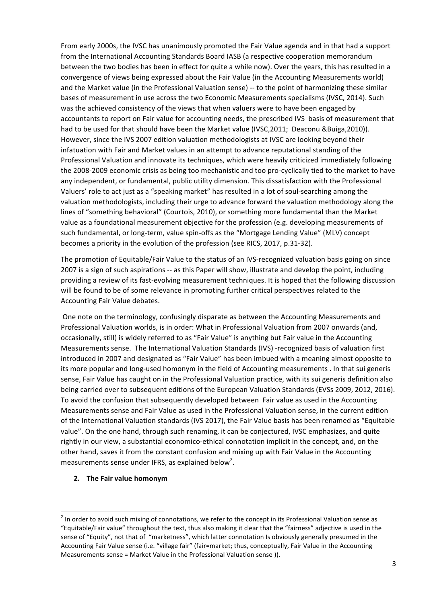From early 2000s, the IVSC has unanimously promoted the Fair Value agenda and in that had a support from the International Accounting Standards Board IASB (a respective cooperation memorandum between the two bodies has been in effect for quite a while now). Over the years, this has resulted in a convergence of views being expressed about the Fair Value (in the Accounting Measurements world) and the Market value (in the Professional Valuation sense) -- to the point of harmonizing these similar bases of measurement in use across the two Economic Measurements specialisms (IVSC, 2014). Such was the achieved consistency of the views that when valuers were to have been engaged by accountants to report on Fair value for accounting needs, the prescribed IVS basis of measurement that had to be used for that should have been the Market value (IVSC,2011; Deaconu &Buiga,2010)). However, since the IVS 2007 edition valuation methodologists at IVSC are looking beyond their infatuation with Fair and Market values in an attempt to advance reputational standing of the Professional Valuation and innovate its techniques, which were heavily criticized immediately following the 2008-2009 economic crisis as being too mechanistic and too pro-cyclically tied to the market to have any independent, or fundamental, public utility dimension. This dissatisfaction with the Professional Valuers' role to act just as a "speaking market" has resulted in a lot of soul-searching among the valuation methodologists, including their urge to advance forward the valuation methodology along the lines of "something behavioral" (Courtois, 2010), or something more fundamental than the Market value as a foundational measurement objective for the profession (e.g. developing measurements of such fundamental, or long-term, value spin-offs as the "Mortgage Lending Value" (MLV) concept becomes a priority in the evolution of the profession (see RICS, 2017, p.31-32).

The promotion of Equitable/Fair Value to the status of an IVS-recognized valuation basis going on since 2007 is a sign of such aspirations -- as this Paper will show, illustrate and develop the point, including providing a review of its fast-evolving measurement techniques. It is hoped that the following discussion will be found to be of some relevance in promoting further critical perspectives related to the Accounting Fair Value debates.

One note on the terminology, confusingly disparate as between the Accounting Measurements and Professional Valuation worlds, is in order: What in Professional Valuation from 2007 onwards (and, occasionally, still) is widely referred to as "Fair Value" is anything but Fair value in the Accounting Measurements sense. The International Valuation Standards (IVS) -recognized basis of valuation first introduced in 2007 and designated as "Fair Value" has been imbued with a meaning almost opposite to its more popular and long-used homonym in the field of Accounting measurements . In that sui generis sense, Fair Value has caught on in the Professional Valuation practice, with its sui generis definition also being carried over to subsequent editions of the European Valuation Standards (EVSs 2009, 2012, 2016). To avoid the confusion that subsequently developed between Fair value as used in the Accounting Measurements sense and Fair Value as used in the Professional Valuation sense, in the current edition of the International Valuation standards (IVS 2017), the Fair Value basis has been renamed as "Equitable value". On the one hand, through such renaming, it can be conjectured, IVSC emphasizes, and quite rightly in our view, a substantial economico-ethical connotation implicit in the concept, and, on the other hand, saves it from the constant confusion and mixing up with Fair Value in the Accounting measurements sense under IFRS, as explained below<sup>2</sup>.

#### **2.** The Fair value homonym

 $2$  In order to avoid such mixing of connotations, we refer to the concept in its Professional Valuation sense as "Equitable/Fair value" throughout the text, thus also making it clear that the "fairness" adjective is used in the sense of "Equity", not that of "marketness", which latter connotation Is obviously generally presumed in the Accounting Fair Value sense (i.e. "village fair" (fair=market; thus, conceptually, Fair Value in the Accounting Measurements sense = Market Value in the Professional Valuation sense )).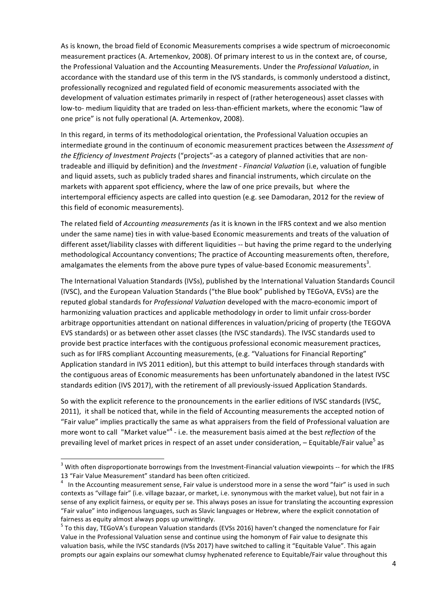As is known, the broad field of Economic Measurements comprises a wide spectrum of microeconomic measurement practices (A. Artemenkov, 2008). Of primary interest to us in the context are, of course, the Professional Valuation and the Accounting Measurements. Under the *Professional Valuation*, in accordance with the standard use of this term in the IVS standards, is commonly understood a distinct, professionally recognized and regulated field of economic measurements associated with the development of valuation estimates primarily in respect of (rather heterogeneous) asset classes with low-to- medium liquidity that are traded on less-than-efficient markets, where the economic "law of one price" is not fully operational (A. Artemenkov, 2008).

In this regard, in terms of its methodological orientation, the Professional Valuation occupies an intermediate ground in the continuum of economic measurement practices between the *Assessment of the Efficiency of Investment Projects* ("projects"-as a category of planned activities that are nontradeable and illiquid by definition) and the *Investment - Financial Valuation* (i.e, valuation of fungible and liquid assets, such as publicly traded shares and financial instruments, which circulate on the markets with apparent spot efficiency, where the law of one price prevails, but where the intertemporal efficiency aspects are called into question (e.g. see Damodaran, 2012 for the review of this field of economic measurements).

The related field of *Accounting measurements* (as it is known in the IFRS context and we also mention under the same name) ties in with value-based Economic measurements and treats of the valuation of different asset/liability classes with different liquidities -- but having the prime regard to the underlying methodological Accountancy conventions; The practice of Accounting measurements often, therefore, amalgamates the elements from the above pure types of value-based Economic measurements<sup>3</sup>.

The International Valuation Standards (IVSs), published by the International Valuation Standards Council (IVSC), and the European Valuation Standards ("the Blue book" published by TEGoVA, EVSs) are the reputed global standards for *Professional Valuation* developed with the macro-economic import of harmonizing valuation practices and applicable methodology in order to limit unfair cross-border arbitrage opportunities attendant on national differences in valuation/pricing of property (the TEGOVA EVS standards) or as between other asset classes (the IVSC standards). The IVSC standards used to provide best practice interfaces with the contiguous professional economic measurement practices, such as for IFRS compliant Accounting measurements, (e.g. "Valuations for Financial Reporting" Application standard in IVS 2011 edition), but this attempt to build interfaces through standards with the contiguous areas of Economic measurements has been unfortunately abandoned in the latest IVSC standards edition (IVS 2017), with the retirement of all previously-issued Application Standards.

So with the explicit reference to the pronouncements in the earlier editions of IVSC standards (IVSC, 2011), it shall be noticed that, while in the field of Accounting measurements the accepted notion of "Fair value" implies practically the same as what appraisers from the field of Professional valuation are more wont to call "Market value"<sup>4</sup> - i.e. the measurement basis aimed at the best *reflection* of the prevailing level of market prices in respect of an asset under consideration, – Equitable/Fair value<sup>5</sup> as

 $3$  With often disproportionate borrowings from the Investment-Financial valuation viewpoints -- for which the IFRS 13 "Fair Value Measurement" standard has been often criticized.

 $4$  In the Accounting measurement sense, Fair value is understood more in a sense the word "fair" is used in such contexts as "village fair" (i.e. village bazaar, or market, i.e. synonymous with the market value), but not fair in a sense of any explicit fairness, or equity per se. This always poses an issue for translating the accounting expression "Fair value" into indigenous languages, such as Slavic languages or Hebrew, where the explicit connotation of fairness as equity almost always pops up unwittingly.

<sup>&</sup>lt;sup>5</sup> To this day, TEGoVA's European Valuation standards (EVSs 2016) haven't changed the nomenclature for Fair Value in the Professional Valuation sense and continue using the homonym of Fair value to designate this valuation basis, while the IVSC standards (IVSs 2017) have switched to calling it "Equitable Value". This again prompts our again explains our somewhat clumsy hyphenated reference to Equitable/Fair value throughout this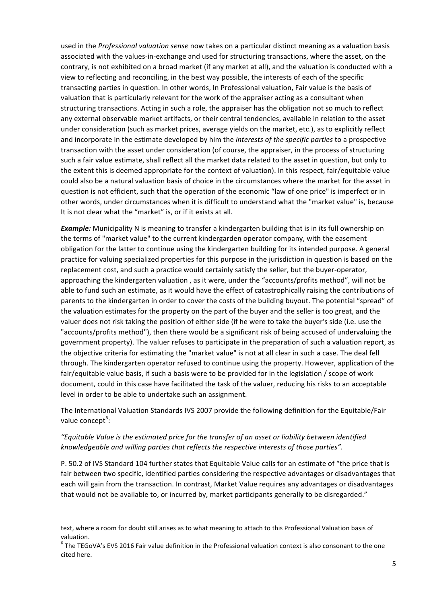used in the *Professional valuation sense* now takes on a particular distinct meaning as a valuation basis associated with the values-in-exchange and used for structuring transactions, where the asset, on the contrary, is not exhibited on a broad market (if any market at all), and the valuation is conducted with a view to reflecting and reconciling, in the best way possible, the interests of each of the specific transacting parties in question. In other words, In Professional valuation, Fair value is the basis of valuation that is particularly relevant for the work of the appraiser acting as a consultant when structuring transactions. Acting in such a role, the appraiser has the obligation not so much to reflect any external observable market artifacts, or their central tendencies, available in relation to the asset under consideration (such as market prices, average yields on the market, etc.), as to explicitly reflect and incorporate in the estimate developed by him the *interests of the specific parties* to a prospective transaction with the asset under consideration (of course, the appraiser, in the process of structuring such a fair value estimate, shall reflect all the market data related to the asset in question, but only to the extent this is deemed appropriate for the context of valuation). In this respect, fair/equitable value could also be a natural valuation basis of choice in the circumstances where the market for the asset in question is not efficient, such that the operation of the economic "law of one price" is imperfect or in other words, under circumstances when it is difficult to understand what the "market value" is, because It is not clear what the "market" is, or if it exists at all.

**Example:** Municipality N is meaning to transfer a kindergarten building that is in its full ownership on the terms of "market value" to the current kindergarden operator company, with the easement obligation for the latter to continue using the kindergarten building for its intended purpose. A general practice for valuing specialized properties for this purpose in the jurisdiction in question is based on the replacement cost, and such a practice would certainly satisfy the seller, but the buyer-operator, approaching the kindergarten valuation, as it were, under the "accounts/profits method", will not be able to fund such an estimate, as it would have the effect of catastrophically raising the contributions of parents to the kindergarten in order to cover the costs of the building buyout. The potential "spread" of the valuation estimates for the property on the part of the buyer and the seller is too great, and the valuer does not risk taking the position of either side (if he were to take the buyer's side (i.e. use the "accounts/profits method"), then there would be a significant risk of being accused of undervaluing the government property). The valuer refuses to participate in the preparation of such a valuation report, as the objective criteria for estimating the "market value" is not at all clear in such a case. The deal fell through. The kindergarten operator refused to continue using the property. However, application of the fair/equitable value basis, if such a basis were to be provided for in the legislation / scope of work document, could in this case have facilitated the task of the valuer, reducing his risks to an acceptable level in order to be able to undertake such an assignment.

The International Valuation Standards IVS 2007 provide the following definition for the Equitable/Fair value concept<sup>6</sup>:

# "Equitable Value is the estimated price for the transfer of an asset or liability between identified knowledgeable and willing parties that reflects the respective interests of those parties".

P. 50.2 of IVS Standard 104 further states that Equitable Value calls for an estimate of "the price that is fair between two specific, identified parties considering the respective advantages or disadvantages that each will gain from the transaction. In contrast, Market Value requires any advantages or disadvantages that would not be available to, or incurred by, market participants generally to be disregarded."

<u> 1989 - Andrea Santa Andrea Andrea Andrea Andrea Andrea Andrea Andrea Andrea Andrea Andrea Andrea Andrea Andr</u>

text, where a room for doubt still arises as to what meaning to attach to this Professional Valuation basis of valuation. 

 $6$  The TEGoVA's EVS 2016 Fair value definition in the Professional valuation context is also consonant to the one cited here.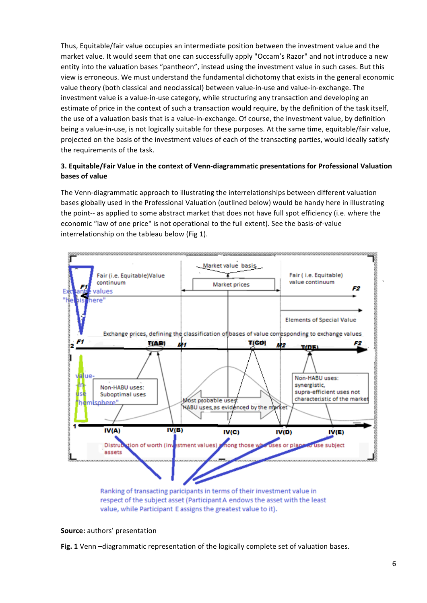Thus, Equitable/fair value occupies an intermediate position between the investment value and the market value. It would seem that one can successfully apply "Occam's Razor" and not introduce a new entity into the valuation bases "pantheon", instead using the investment value in such cases. But this view is erroneous. We must understand the fundamental dichotomy that exists in the general economic value theory (both classical and neoclassical) between value-in-use and value-in-exchange. The investment value is a value-in-use category, while structuring any transaction and developing an estimate of price in the context of such a transaction would require, by the definition of the task itself, the use of a valuation basis that is a value-in-exchange. Of course, the investment value, by definition being a value-in-use, is not logically suitable for these purposes. At the same time, equitable/fair value, projected on the basis of the investment values of each of the transacting parties, would ideally satisfy the requirements of the task.

# **3.** Equitable/Fair Value in the context of Venn-diagrammatic presentations for Professional Valuation **bases** of value

The Venn-diagrammatic approach to illustrating the interrelationships between different valuation bases globally used in the Professional Valuation (outlined below) would be handy here in illustrating the point-- as applied to some abstract market that does not have full spot efficiency (i.e. where the economic "law of one price" is not operational to the full extent). See the basis-of-value interrelationship on the tableau below (Fig 1).



Ranking of transacting paricipants in terms of their investment value in respect of the subject asset (Participant A endows the asset with the least value, while Participant E assigns the greatest value to it).

#### **Source:** authors' presentation

Fig. 1 Venn -diagrammatic representation of the logically complete set of valuation bases.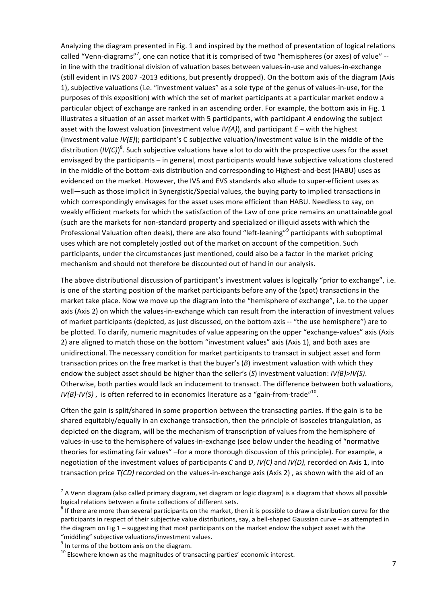Analyzing the diagram presented in Fig. 1 and inspired by the method of presentation of logical relations called "Venn-diagrams"<sup>7</sup>, one can notice that it is comprised of two "hemispheres (or axes) of value" -in line with the traditional division of valuation bases between values-in-use and values-in-exchange (still evident in IVS 2007 -2013 editions, but presently dropped). On the bottom axis of the diagram (Axis 1), subjective valuations (i.e. "investment values" as a sole type of the genus of values-in-use, for the purposes of this exposition) with which the set of market participants at a particular market endow a particular object of exchange are ranked in an ascending order. For example, the bottom axis in Fig. 1 illustrates a situation of an asset market with 5 participants, with participant *A* endowing the subject asset with the lowest valuation (investment value  $IV(A)$ ), and participant  $E$  – with the highest (investment value  $IV(E)$ ); participant's C subjective valuation/investment value is in the middle of the distribution (IV(C))<sup>8</sup>. Such subjective valuations have a lot to do with the prospective uses for the asset envisaged by the participants – in general, most participants would have subjective valuations clustered in the middle of the bottom-axis distribution and corresponding to Highest-and-best (HABU) uses as evidenced on the market. However, the IVS and EVS standards also allude to super-efficient uses as well-such as those implicit in Synergistic/Special values, the buying party to implied transactions in which correspondingly envisages for the asset uses more efficient than HABU. Needless to say, on weakly efficient markets for which the satisfaction of the Law of one price remains an unattainable goal (such are the markets for non-standard property and specialized or illiquid assets with which the Professional Valuation often deals), there are also found "left-leaning"<sup>9</sup> participants with suboptimal uses which are not completely jostled out of the market on account of the competition. Such participants, under the circumstances just mentioned, could also be a factor in the market pricing mechanism and should not therefore be discounted out of hand in our analysis.

The above distributional discussion of participant's investment values is logically "prior to exchange", i.e. is one of the starting position of the market participants before any of the (spot) transactions in the market take place. Now we move up the diagram into the "hemisphere of exchange", i.e. to the upper axis (Axis 2) on which the values-in-exchange which can result from the interaction of investment values of market participants (depicted, as just discussed, on the bottom axis -- "the use hemisphere") are to be plotted. To clarify, numeric magnitudes of value appearing on the upper "exchange-values" axis (Axis 2) are aligned to match those on the bottom "investment values" axis (Axis 1), and both axes are unidirectional. The necessary condition for market participants to transact in subject asset and form transaction prices on the free market is that the buyer's  $(B)$  investment valuation with which they endow the subject asset should be higher than the seller's (S) investment valuation: *IV(B)>IV(S)*. Otherwise, both parties would lack an inducement to transact. The difference between both valuations,  $IV(B)-IV(S)$ , is often referred to in economics literature as a "gain-from-trade"<sup>10</sup>.

Often the gain is split/shared in some proportion between the transacting parties. If the gain is to be shared equitably/equally in an exchange transaction, then the principle of Isosceles triangulation, as depicted on the diagram, will be the mechanism of transcription of values from the hemisphere of values-in-use to the hemisphere of values-in-exchange (see below under the heading of "normative theories for estimating fair values" –for a more thorough discussion of this principle). For example, a negotiation of the investment values of participants *C* and *D*, *IV(C)* and *IV(D)*, recorded on Axis 1, into transaction price  $T(CD)$  recorded on the values-in-exchange axis (Axis 2), as shown with the aid of an

 $^7$  A Venn diagram (also called primary diagram, set diagram or logic diagram) is a diagram that shows all possible logical relations between a finite collections of different sets.<br><sup>8</sup> If there are more than several participants on the market, then it is possible to draw a distribution curve for the

participants in respect of their subjective value distributions, say, a bell-shaped Gaussian curve - as attempted in the diagram on Fig  $1$  – suggesting that most participants on the market endow the subject asset with the

<sup>&</sup>quot;middling" subjective valuations/investment values.<br> $9^9$  In terms of the bottom axis on the diagram.

 $^{10}$  Elsewhere known as the magnitudes of transacting parties' economic interest.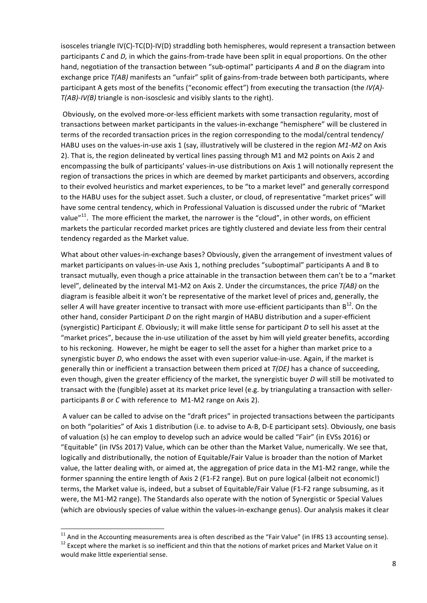isosceles triangle IV(C)-TC(D)-IV(D) straddling both hemispheres, would represent a transaction between participants *C* and *D*, in which the gains-from-trade have been split in equal proportions. On the other hand, negotiation of the transaction between "sub-optimal" participants *A* and *B* on the diagram into exchange price  $T(AB)$  manifests an "unfair" split of gains-from-trade between both participants, where participant A gets most of the benefits ("economic effect") from executing the transaction (the *IV(A)-T(AB)-IV(B)* triangle is non-isosclesic and visibly slants to the right).

Obviously, on the evolved more-or-less efficient markets with some transaction regularity, most of transactions between market participants in the values-in-exchange "hemisphere" will be clustered in terms of the recorded transaction prices in the region corresponding to the modal/central tendency/ HABU uses on the values-in-use axis 1 (say, illustratively will be clustered in the region *M1-M2* on Axis 2). That is, the region delineated by vertical lines passing through M1 and M2 points on Axis 2 and encompassing the bulk of participants' values-in-use distributions on Axis 1 will notionally represent the region of transactions the prices in which are deemed by market participants and observers, according to their evolved heuristics and market experiences, to be "to a market level" and generally correspond to the HABU uses for the subject asset. Such a cluster, or cloud, of representative "market prices" will have some central tendency, which in Professional Valuation is discussed under the rubric of "Market value"<sup>11</sup>. The more efficient the market, the narrower is the "cloud", in other words, on efficient markets the particular recorded market prices are tightly clustered and deviate less from their central tendency regarded as the Market value.

What about other values-in-exchange bases? Obviously, given the arrangement of investment values of market participants on values-in-use Axis 1, nothing precludes "suboptimal" participants A and B to transact mutually, even though a price attainable in the transaction between them can't be to a "market level", delineated by the interval M1-M2 on Axis 2. Under the circumstances, the price  $T(AB)$  on the diagram is feasible albeit it won't be representative of the market level of prices and, generally, the seller *A* will have greater incentive to transact with more use-efficient participants than B<sup>12</sup>. On the other hand, consider Participant *D* on the right margin of HABU distribution and a super-efficient (synergistic) Participant *E*. Obviously; it will make little sense for participant *D* to sell his asset at the "market prices", because the in-use utilization of the asset by him will yield greater benefits, according to his reckoning. However, he might be eager to sell the asset for a higher than market price to a synergistic buyer *D*, who endows the asset with even superior value-in-use. Again, if the market is generally thin or inefficient a transaction between them priced at  $T(DE)$  has a chance of succeeding, even though, given the greater efficiency of the market, the synergistic buyer *D* will still be motivated to transact with the (fungible) asset at its market price level (e.g. by triangulating a transaction with sellerparticipants *B* or *C* with reference to M1-M2 range on Axis 2).

A valuer can be called to advise on the "draft prices" in projected transactions between the participants on both "polarities" of Axis 1 distribution (i.e. to advise to A-B, D-E participant sets). Obviously, one basis of valuation (s) he can employ to develop such an advice would be called "Fair" (in EVSs 2016) or "Equitable" (in IVSs 2017) Value, which can be other than the Market Value, numerically. We see that, logically and distributionally, the notion of Equitable/Fair Value is broader than the notion of Market value, the latter dealing with, or aimed at, the aggregation of price data in the M1-M2 range, while the former spanning the entire length of Axis 2 (F1-F2 range). But on pure logical (albeit not economic!) terms, the Market value is, indeed, but a subset of Equitable/Fair Value (F1-F2 range subsuming, as it were, the M1-M2 range). The Standards also operate with the notion of Synergistic or Special Values (which are obviously species of value within the values-in-exchange genus). Our analysis makes it clear

 

<sup>&</sup>lt;sup>11</sup> And in the Accounting measurements area is often described as the "Fair Value" (in IFRS 13 accounting sense).<br><sup>12</sup> Except where the market is so inefficient and thin that the notions of market prices and Market Value

would make little experiential sense.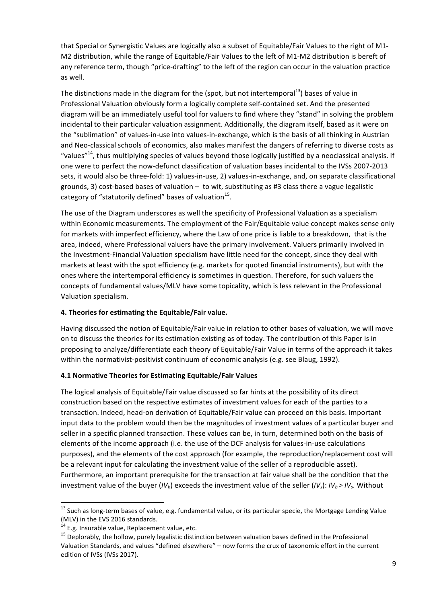that Special or Synergistic Values are logically also a subset of Equitable/Fair Values to the right of M1-M2 distribution, while the range of Equitable/Fair Values to the left of M1-M2 distribution is bereft of any reference term, though "price-drafting" to the left of the region can occur in the valuation practice as well. 

The distinctions made in the diagram for the (spot, but not intertemporal<sup>13</sup>) bases of value in Professional Valuation obviously form a logically complete self-contained set. And the presented diagram will be an immediately useful tool for valuers to find where they "stand" in solving the problem incidental to their particular valuation assignment. Additionally, the diagram itself, based as it were on the "sublimation" of values-in-use into values-in-exchange, which is the basis of all thinking in Austrian and Neo-classical schools of economics, also makes manifest the dangers of referring to diverse costs as "values"<sup>14</sup>, thus multiplying species of values beyond those logically justified by a neoclassical analysis. If one were to perfect the now-defunct classification of valuation bases incidental to the IVSs 2007-2013 sets, it would also be three-fold: 1) values-in-use, 2) values-in-exchange, and, on separate classificational grounds, 3) cost-based bases of valuation  $-$  to wit, substituting as #3 class there a vague legalistic category of "statutorily defined" bases of valuation $^{15}$ .

The use of the Diagram underscores as well the specificity of Professional Valuation as a specialism within Economic measurements. The employment of the Fair/Equitable value concept makes sense only for markets with imperfect efficiency, where the Law of one price is liable to a breakdown, that is the area, indeed, where Professional valuers have the primary involvement. Valuers primarily involved in the Investment-Financial Valuation specialism have little need for the concept, since they deal with markets at least with the spot efficiency (e.g. markets for quoted financial instruments), but with the ones where the intertemporal efficiency is sometimes in question. Therefore, for such valuers the concepts of fundamental values/MLV have some topicality, which is less relevant in the Professional Valuation specialism. 

# **4. Theories for estimating the Equitable/Fair value.**

Having discussed the notion of Equitable/Fair value in relation to other bases of valuation, we will move on to discuss the theories for its estimation existing as of today. The contribution of this Paper is in proposing to analyze/differentiate each theory of Equitable/Fair Value in terms of the approach it takes within the normativist-positivist continuum of economic analysis (e.g. see Blaug, 1992).

# **4.1 Normative Theories for Estimating Equitable/Fair Values**

The logical analysis of Equitable/Fair value discussed so far hints at the possibility of its direct construction based on the respective estimates of investment values for each of the parties to a transaction. Indeed, head-on derivation of Equitable/Fair value can proceed on this basis. Important input data to the problem would then be the magnitudes of investment values of a particular buyer and seller in a specific planned transaction. These values can be, in turn, determined both on the basis of elements of the income approach (i.e. the use of the DCF analysis for values-in-use calculations purposes), and the elements of the cost approach (for example, the reproduction/replacement cost will be a relevant input for calculating the investment value of the seller of a reproducible asset). Furthermore, an important prerequisite for the transaction at fair value shall be the condition that the investment value of the buyer  $(IV_b)$  exceeds the investment value of the seller  $(IV_s): IV_b > IV_s$ . Without

 

 $13$  Such as long-term bases of value, e.g. fundamental value, or its particular specie, the Mortgage Lending Value (MLV) in the EVS 2016 standards.<br> $^{14}$  E.g. Insurable value, Replacement value, etc.

 $15$  Deplorably, the hollow, purely legalistic distinction between valuation bases defined in the Professional Valuation Standards, and values "defined elsewhere" – now forms the crux of taxonomic effort in the current edition of IVSs (IVSs 2017).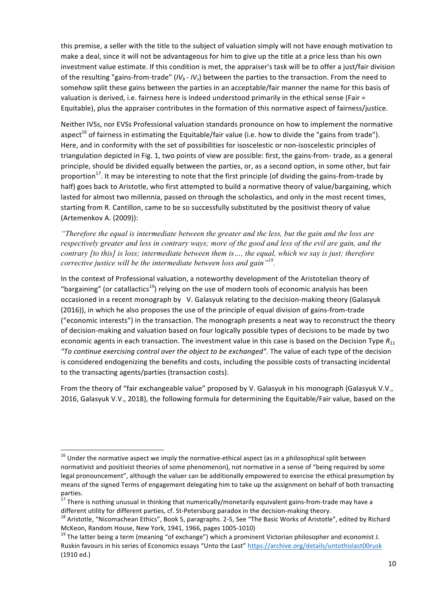this premise, a seller with the title to the subject of valuation simply will not have enough motivation to make a deal, since it will not be advantageous for him to give up the title at a price less than his own investment value estimate. If this condition is met, the appraiser's task will be to offer a just/fair division of the resulting "gains-from-trade"  $(N_b - N_s)$  between the parties to the transaction. From the need to somehow split these gains between the parties in an acceptable/fair manner the name for this basis of valuation is derived, i.e. fairness here is indeed understood primarily in the ethical sense (Fair = Equitable), plus the appraiser contributes in the formation of this normative aspect of fairness/justice.

Neither IVSs, nor EVSs Professional valuation standards pronounce on how to implement the normative aspect<sup>16</sup> of fairness in estimating the Equitable/fair value (i.e. how to divide the "gains from trade"). Here, and in conformity with the set of possibilities for isoscelestic or non-isoscelestic principles of triangulation depicted in Fig. 1, two points of view are possible: first, the gains-from- trade, as a general principle, should be divided equally between the parties, or, as a second option, in some other, but fair proportion<sup>17</sup>. It may be interesting to note that the first principle (of dividing the gains-from-trade by half) goes back to Aristotle, who first attempted to build a normative theory of value/bargaining, which lasted for almost two millennia, passed on through the scholastics, and only in the most recent times, starting from R. Cantillon, came to be so successfully substituted by the positivist theory of value (Artemenkov A. (2009)):

*"Therefore the equal is intermediate between the greater and the less, but the gain and the loss are respectively greater and less in contrary ways; more of the good and less of the evil are gain, and the contrary [to this] is loss; intermediate between them is…, the equal, which we say is just; therefore corrective justice will be the intermediate between loss and gain"18.*

In the context of Professional valuation, a noteworthy development of the Aristotelian theory of "bargaining" (or catallactics<sup>19</sup>) relying on the use of modern tools of economic analysis has been occasioned in a recent monograph by V. Galasyuk relating to the decision-making theory (Galasyuk (2016)), in which he also proposes the use of the principle of equal division of gains-from-trade ("economic interests") in the transaction. The monograph presents a neat way to reconstruct the theory of decision-making and valuation based on four logically possible types of decisions to be made by two economic agents in each transaction. The investment value in this case is based on the Decision Type  $R_{11}$ "To continue exercising control over the object to be exchanged". The value of each type of the decision is considered endogenizing the benefits and costs, including the possible costs of transacting incidental to the transacting agents/parties (transaction costs).

From the theory of "fair exchangeable value" proposed by V. Galasyuk in his monograph (Galasyuk V.V., 2016, Galasyuk V.V., 2018), the following formula for determining the Equitable/Fair value, based on the

 $16$  Under the normative aspect we imply the normative-ethical aspect (as in a philosophical split between normativist and positivist theories of some phenomenon), not normative in a sense of "being required by some legal pronouncement", although the valuer can be additionally empowered to exercise the ethical presumption by means of the signed Terms of engagement delegating him to take up the assignment on behalf of both transacting parties. 

 $^{17}$  There is nothing unusual in thinking that numerically/monetarily equivalent gains-from-trade may have a

different utility for different parties, cf. St-Petersburg paradox in the decision-making theory.<br><sup>18</sup> Aristotle, "Nicomachean Ethics", Book 5, paragraphs. 2-5, See "The Basic Works of Aristotle", edited by Richard McKeon, Random House, New York, 1941, 1966, pages 1005-1010)<br><sup>19</sup> The latter being a term (meaning "of exchange") which a prominent Victorian philosopher and economist J.

Ruskin favours in his series of Economics essays "Unto the Last" https://archive.org/details/untothislast00rusk (1910 ed.)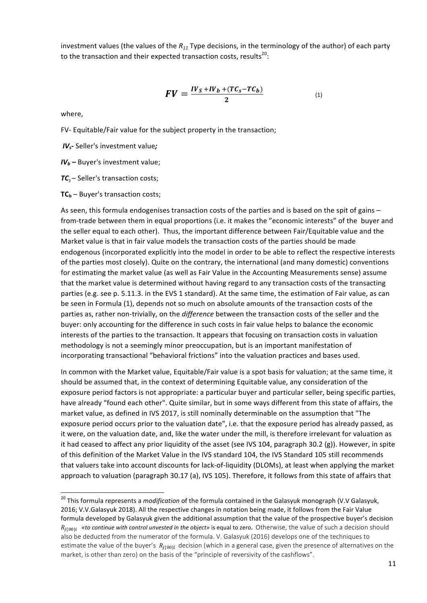investment values (the values of the  $R_{11}$  Type decisions, in the terminology of the author) of each party to the transaction and their expected transaction costs, results<sup>20</sup>:

$$
FV = \frac{IV_{S} + IV_{b} + (TC_{S} - TC_{b})}{2}
$$
 (1)

where,

FV- Equitable/Fair value for the subject property in the transaction:

*IV<sub>s</sub>*- Seller's investment value:

 $IV<sub>b</sub>$  – Buyer's investment value;

*TC<sub>s</sub>* – Seller's transaction costs;

 $TC<sub>b</sub>$  – Buyer's transaction costs;

<u> 1989 - Johann Stein, marwolaethau a bh</u>

As seen, this formula endogenises transaction costs of the parties and is based on the spit of gains – from-trade between them in equal proportions (i.e. it makes the "economic interests" of the buyer and the seller equal to each other). Thus, the important difference between Fair/Equitable value and the Market value is that in fair value models the transaction costs of the parties should be made endogenous (incorporated explicitly into the model in order to be able to reflect the respective interests of the parties most closely). Quite on the contrary, the international (and many domestic) conventions for estimating the market value (as well as Fair Value in the Accounting Measurements sense) assume that the market value is determined without having regard to any transaction costs of the transacting parties (e.g. see p. 5.11.3. in the EVS 1 standard). At the same time, the estimation of Fair value, as can be seen in Formula (1), depends not so much on absolute amounts of the transaction costs of the parties as, rather non-trivially, on the *difference* between the transaction costs of the seller and the buyer: only accounting for the difference in such costs in fair value helps to balance the economic interests of the parties to the transaction. It appears that focusing on transaction costs in valuation methodology is not a seemingly minor preoccupation, but is an important manifestation of incorporating transactional "behavioral frictions" into the valuation practices and bases used.

In common with the Market value, Equitable/Fair value is a spot basis for valuation; at the same time, it should be assumed that, in the context of determining Equitable value, any consideration of the exposure period factors is not appropriate: a particular buyer and particular seller, being specific parties, have already "found each other". Quite similar, but in some ways different from this state of affairs, the market value, as defined in IVS 2017, is still nominally determinable on the assumption that "The exposure period occurs prior to the valuation date", i.e. that the exposure period has already passed, as it were, on the valuation date, and, like the water under the mill, is therefore irrelevant for valuation as it had ceased to affect any prior liquidity of the asset (see IVS 104, paragraph 30.2 (g)). However, in spite of this definition of the Market Value in the IVS standard 104, the IVS Standard 105 still recommends that valuers take into account discounts for lack-of-liquidity (DLOMs), at least when applying the market approach to valuation (paragraph 30.17 (a), IVS 105). Therefore, it follows from this state of affairs that

<sup>&</sup>lt;sup>20</sup> This formula represents a *modification* of the formula contained in the Galasyuk monograph (V.V Galasyuk, 2016; V.V.Galasyuk 2018). All the respective changes in notation being made, it follows from the Fair Value formula developed by Galasyuk given the additional assumption that the value of the prospective buyer's decision  $R_{i(00)i}$  «to continue with control unvested in the object» is equal to zero. Otherwise, the value of such a decision should also be deducted from the numerator of the formula. V. Galasyuk (2016) develops one of the techniques to estimate the value of the buyer's  $R_{j{00}i}$  decision (which in a general case, given the presence of alternatives on the market, is other than zero) on the basis of the "principle of reversivity of the cashflows".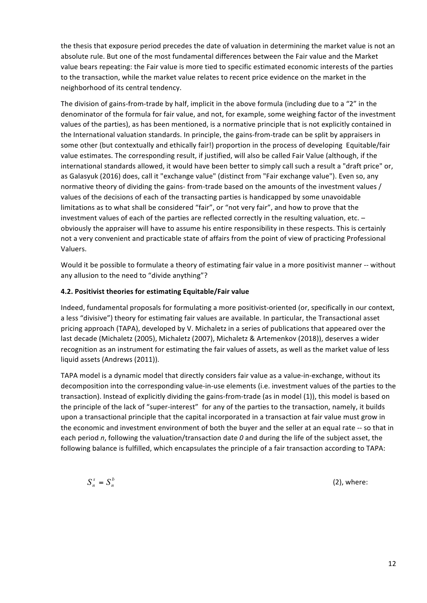the thesis that exposure period precedes the date of valuation in determining the market value is not an absolute rule. But one of the most fundamental differences between the Fair value and the Market value bears repeating: the Fair value is more tied to specific estimated economic interests of the parties to the transaction, while the market value relates to recent price evidence on the market in the neighborhood of its central tendency.

The division of gains-from-trade by half, implicit in the above formula (including due to a "2" in the denominator of the formula for fair value, and not, for example, some weighing factor of the investment values of the parties), as has been mentioned, is a normative principle that is not explicitly contained in the International valuation standards. In principle, the gains-from-trade can be split by appraisers in some other (but contextually and ethically fair!) proportion in the process of developing Equitable/fair value estimates. The corresponding result, if justified, will also be called Fair Value (although, if the international standards allowed, it would have been better to simply call such a result a "draft price" or, as Galasyuk (2016) does, call it "exchange value" (distinct from "Fair exchange value"). Even so, any normative theory of dividing the gains- from-trade based on the amounts of the investment values / values of the decisions of each of the transacting parties is handicapped by some unavoidable limitations as to what shall be considered "fair", or "not very fair", and how to prove that the investment values of each of the parties are reflected correctly in the resulting valuation, etc.  $$ obviously the appraiser will have to assume his entire responsibility in these respects. This is certainly not a very convenient and practicable state of affairs from the point of view of practicing Professional Valuers. 

Would it be possible to formulate a theory of estimating fair value in a more positivist manner -- without any allusion to the need to "divide anything"?

# **4.2. Positivist theories for estimating Equitable/Fair value**

Indeed, fundamental proposals for formulating a more positivist-oriented (or, specifically in our context, a less "divisive") theory for estimating fair values are available. In particular, the Transactional asset pricing approach (TAPA), developed by V. Michaletz in a series of publications that appeared over the last decade (Michaletz (2005), Michaletz (2007), Michaletz & Artemenkov (2018)), deserves a wider recognition as an instrument for estimating the fair values of assets, as well as the market value of less liquid assets (Andrews (2011)).

TAPA model is a dynamic model that directly considers fair value as a value-in-exchange, without its decomposition into the corresponding value-in-use elements (i.e. investment values of the parties to the transaction). Instead of explicitly dividing the gains-from-trade (as in model (1)), this model is based on the principle of the lack of "super-interest" for any of the parties to the transaction, namely, it builds upon a transactional principle that the capital incorporated in a transaction at fair value must grow in the economic and investment environment of both the buyer and the seller at an equal rate -- so that in each period *n*, following the valuation/transaction date *0* and during the life of the subject asset, the following balance is fulfilled, which encapsulates the principle of a fair transaction according to TAPA:

 $S_n^s = S_n^b$ 

 $S_n^s = S_n^b$  (2), where: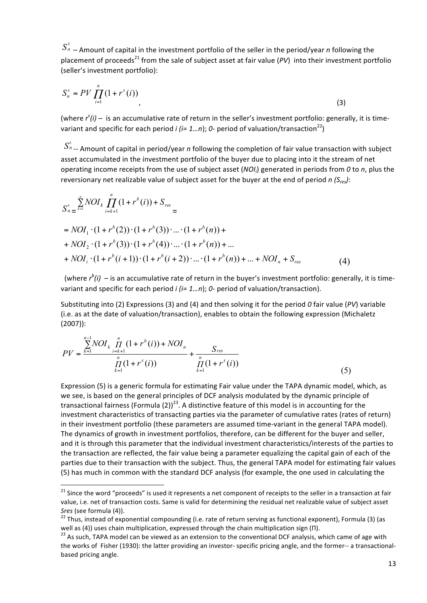$S_n^s$  – Amount of capital in the investment portfolio of the seller in the period/year *n* following the placement of proceeds<sup>21</sup> from the sale of subject asset at fair value ( $PV$ ) into their investment portfolio (seller's investment portfolio):

$$
S_n^s = PV \prod_{i=1}^n (1 + r^s(i))
$$
\n(3)

(where  $r^s(i)$  – is an accumulative rate of return in the seller's investment portfolio: generally, it is timevariant and specific for each period *i* ( $i=1...n$ ); *0*- period of valuation/transaction<sup>22</sup>)

 $S^{\hbar}_{\hbar}$  -- Amount of capital in period/year *n* following the completion of fair value transaction with subject asset accumulated in the investment portfolio of the buyer due to placing into it the stream of net operating income receipts from the use of subject asset  $(NOI_i)$  generated in periods from  $O$  to  $n$ , plus the reversionary net realizable value of subject asset for the buyer at the end of period *n*  $(S_{res})$ :

$$
S_{n}^{b} = \sum_{k=1}^{n} NOI_{k} \prod_{i=k+1}^{n} (1 + r^{b}(i)) + S_{res}
$$
  
= 
$$
NOI_{1} \cdot (1 + r^{b}(2)) \cdot (1 + r^{b}(3)) \cdot ... \cdot (1 + r^{b}(n)) +
$$
  
+ 
$$
NOI_{2} \cdot (1 + r^{b}(3)) \cdot (1 + r^{b}(4)) \cdot ... \cdot (1 + r^{b}(n)) + ...
$$
  
+ 
$$
NOI_{i} \cdot (1 + r^{b}(i+1)) \cdot (1 + r^{b}(i+2)) \cdot ... \cdot (1 + r^{b}(n)) + ... + NOI_{n} + S_{res}
$$
 (4)

(where  $r^b(i)$  – is an accumulative rate of return in the buyer's investment portfolio: generally, it is timevariant and specific for each period  $i$  ( $i=1...n$ );  $0$ - period of valuation/transaction).

Substituting into (2) Expressions (3) and (4) and then solving it for the period 0 fair value (PV) variable (i.e. as at the date of valuation/transaction), enables to obtain the following expression (Michaletz (2007)):

$$
PV = \frac{\sum_{k=1}^{n-1} NOI_k \prod_{i=k+1}^{n} (1+r^b(i)) + NOI_n}{\prod_{k=1}^{n} (1+r^s(i))} + \frac{S_{res}}{\prod_{k=1}^{n} (1+r^s(i))}
$$
(5)

Expression (5) is a generic formula for estimating Fair value under the TAPA dynamic model, which, as we see, is based on the general principles of DCF analysis modulated by the dynamic principle of transactional fairness (Formula (2))<sup>23</sup>. A distinctive feature of this model is in accounting for the investment characteristics of transacting parties via the parameter of cumulative rates (rates of return) in their investment portfolio (these parameters are assumed time-variant in the general TAPA model). The dynamics of growth in investment portfolios, therefore, can be different for the buyer and seller, and it is through this parameter that the individual investment characteristics/interests of the parties to the transaction are reflected, the fair value being a parameter equalizing the capital gain of each of the parties due to their transaction with the subject. Thus, the general TAPA model for estimating fair values (5) has much in common with the standard DCF analysis (for example, the one used in calculating the

 $^{21}$  Since the word "proceeds" is used it represents a net component of receipts to the seller in a transaction at fair value, i.e. net of transaction costs. Same is valid for determining the residual net realizable value of subject asset *Sres* (see formula (4)).<br><sup>22</sup> Thus, instead of exponential compounding (i.e. rate of return serving as functional exponent), Formula (3) (as

well as (4)) uses chain multiplication, expressed through the chain multiplication sign (Π).<br>
<sup>23</sup> As such, TAPA model can be viewed as an extension to the conventional DCF analysis, which came of age with

the works of Fisher (1930): the latter providing an investor- specific pricing angle, and the former-- a transactionalbased pricing angle.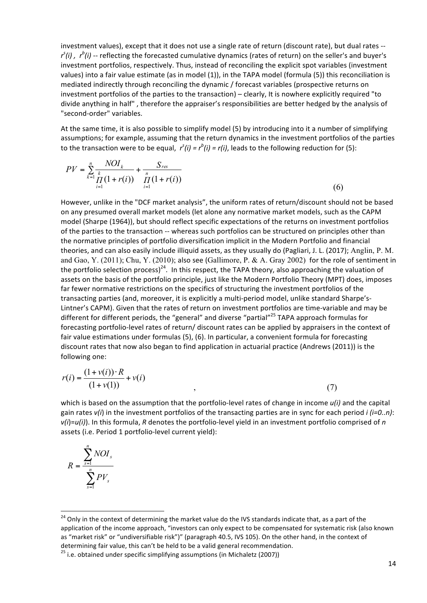investment values), except that it does not use a single rate of return (discount rate), but dual rates -r<sup>s</sup>(i), r<sup>b</sup>(i) -- reflecting the forecasted cumulative dynamics (rates of return) on the seller's and buyer's investment portfolios, respectively. Thus, instead of reconciling the explicit spot variables (investment values) into a fair value estimate (as in model  $(1)$ ), in the TAPA model (formula  $(5)$ ) this reconciliation is mediated indirectly through reconciling the dynamic / forecast variables (prospective returns on investment portfolios of the parties to the transaction) – clearly, It is nowhere explicitly required "to divide anything in half", therefore the appraiser's responsibilities are better hedged by the analysis of "second-order" variables.

At the same time, it is also possible to simplify model (5) by introducing into it a number of simplifying assumptions; for example, assuming that the return dynamics in the investment portfolios of the parties to the transaction were to be equal,  $r^s(i)$  =  $r^b(i)$  =  $r(i)$ , leads to the following reduction for (5):

$$
PV = \sum_{k=1}^{n} \frac{NOI_k}{\prod_{i=1}^{K} (1 + r(i))} + \frac{S_{res}}{\prod_{i=1}^{N} (1 + r(i))}
$$
(6)

However, unlike in the "DCF market analysis", the uniform rates of return/discount should not be based on any presumed overall market models (let alone any normative market models, such as the CAPM model (Sharpe (1964)), but should reflect specific expectations of the returns on investment portfolios of the parties to the transaction -- whereas such portfolios can be structured on principles other than the normative principles of portfolio diversification implicit in the Modern Portfolio and financial theories, and can also easily include illiquid assets, as they usually do (Pagliari, J. L. (2017); Anglin, P. M. and Gao, Y. (2011); Chu, Y. (2010); also see (Gallimore, P. & A. Gray 2002) for the role of sentiment in the portfolio selection process)<sup>24</sup>. In this respect, the TAPA theory, also approaching the valuation of assets on the basis of the portfolio principle, just like the Modern Portfolio Theory (MPT) does, imposes far fewer normative restrictions on the specifics of structuring the investment portfolios of the transacting parties (and, moreover, it is explicitly a multi-period model, unlike standard Sharpe's-Lintner's CAPM). Given that the rates of return on investment portfolios are time-variable and may be different for different periods, the "general" and diverse "partial"<sup>25</sup> TAPA approach formulas for forecasting portfolio-level rates of return/ discount rates can be applied by appraisers in the context of fair value estimations under formulas (5), (6). In particular, a convenient formula for forecasting discount rates that now also began to find application in actuarial practice (Andrews (2011)) is the following one:

$$
r(i) = \frac{(1 + v(i)) \cdot R}{(1 + v(1))} + v(i)
$$
\n(7)

which is based on the assumption that the portfolio-level rates of change in income  $u(i)$  and the capital gain rates  $v(i)$  in the investment portfolios of the transacting parties are in sync for each period *i* (*i=0..n*):  $v(i)=u(i)$ . In this formula, *R* denotes the portfolio-level yield in an investment portfolio comprised of *n* assets (i.e. Period 1 portfolio-level current yield):

$$
R = \frac{\sum_{s=1}^{n} NOI_s}{\sum_{s=1}^{n} PV_s}
$$

<sup>&</sup>lt;sup>24</sup> Only in the context of determining the market value do the IVS standards indicate that, as a part of the application of the income approach, "investors can only expect to be compensated for systematic risk (also known as "market risk" or "undiversifiable risk")" (paragraph 40.5, IVS 105). On the other hand, in the context of determining fair value, this can't be held to be a valid general recommendation.<br><sup>25</sup> i.e. obtained under specific simplifying assumptions (in Michaletz (2007))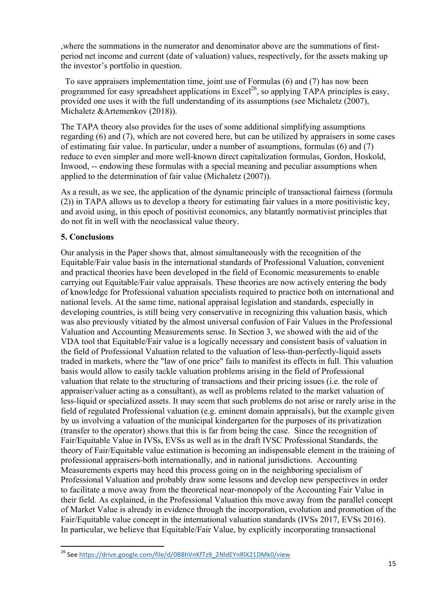,where the summations in the numerator and denominator above are the summations of firstperiod net income and current (date of valuation) values, respectively, for the assets making up the investor's portfolio in question.

 To save appraisers implementation time, joint use of Formulas (6) and (7) has now been programmed for easy spreadsheet applications in  $\text{Excel}^{26}$ , so applying TAPA principles is easy, provided one uses it with the full understanding of its assumptions (see Michaletz (2007), Michaletz &Artemenkov (2018)).

The TAPA theory also provides for the uses of some additional simplifying assumptions regarding (6) and (7), which are not covered here, but can be utilized by appraisers in some cases of estimating fair value. In particular, under a number of assumptions, formulas (6) and (7) reduce to even simpler and more well-known direct capitalization formulas, Gordon, Hoskold, Inwood, -- endowing these formulas with a special meaning and peculiar assumptions when applied to the determination of fair value (Michaletz (2007)).

As a result, as we see, the application of the dynamic principle of transactional fairness (formula (2)) in TAPA allows us to develop a theory for estimating fair values in a more positivistic key, and avoid using, in this epoch of positivist economics, any blatantly normativist principles that do not fit in well with the neoclassical value theory.

# **5. Conclusions**

Our analysis in the Paper shows that, almost simultaneously with the recognition of the Equitable/Fair value basis in the international standards of Professional Valuation, convenient and practical theories have been developed in the field of Economic measurements to enable carrying out Equitable/Fair value appraisals. These theories are now actively entering the body of knowledge for Professional valuation specialists required to practice both on international and national levels. At the same time, national appraisal legislation and standards, especially in developing countries, is still being very conservative in recognizing this valuation basis, which was also previously vitiated by the almost universal confusion of Fair Values in the Professional Valuation and Accounting Measurements sense. In Section 3, we showed with the aid of the VDA tool that Equitable/Fair value is a logically necessary and consistent basis of valuation in the field of Professional Valuation related to the valuation of less-than-perfectly-liquid assets traded in markets, where the "law of one price" fails to manifest its effects in full. This valuation basis would allow to easily tackle valuation problems arising in the field of Professional valuation that relate to the structuring of transactions and their pricing issues (i.e. the role of appraiser/valuer acting as a consultant), as well as problems related to the market valuation of less-liquid or specialized assets. It may seem that such problems do not arise or rarely arise in the field of regulated Professional valuation (e.g. eminent domain appraisals), but the example given by us involving a valuation of the municipal kindergarten for the purposes of its privatization (transfer to the operator) shows that this is far from being the case. Since the recognition of Fair/Equitable Value in IVSs, EVSs as well as in the draft IVSC Professional Standards, the theory of Fair/Equitable value estimation is becoming an indispensable element in the training of professional appraisers-both internationally, and in national jurisdictions. Accounting Measurements experts may heed this process going on in the neighboring specialism of Professional Valuation and probably draw some lessons and develop new perspectives in order to facilitate a move away from the theoretical near-monopoly of the Accounting Fair Value in their field. As explained, in the Professional Valuation this move away from the parallel concept of Market Value is already in evidence through the incorporation, evolution and promotion of the Fair/Equitable value concept in the international valuation standards (IVSs 2017, EVSs 2016). In particular, we believe that Equitable/Fair Value, by explicitly incorporating transactional

<sup>&</sup>lt;sup>26</sup> See https://drive.google.com/file/d/0B8hVnKfTz9\_2NldEYnRlX21DMk0/view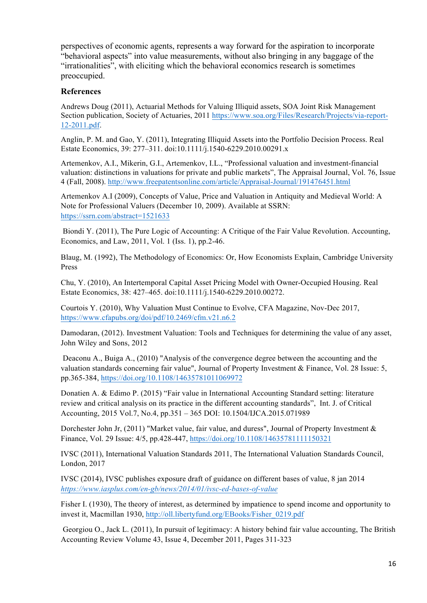perspectives of economic agents, represents a way forward for the aspiration to incorporate "behavioral aspects" into value measurements, without also bringing in any baggage of the "irrationalities", with eliciting which the behavioral economics research is sometimes preoccupied.

# **References**

Andrews Doug (2011), Actuarial Methods for Valuing Illiquid assets, SOA Joint Risk Management Section publication, Society of Actuaries, 2011 https://www.soa.org/Files/Research/Projects/via-report-12-2011.pdf.

Anglin, P. M. and Gao, Y. (2011), Integrating Illiquid Assets into the Portfolio Decision Process. Real Estate Economics, 39: 277–311. doi:10.1111/j.1540-6229.2010.00291.x

Artemenkov, A.I., Mikerin, G.I., Artemenkov, I.L., "Professional valuation and investment-financial valuation: distinctions in valuations for private and public markets", The Appraisal Journal, Vol. 76, Issue 4 (Fall, 2008). http://www.freepatentsonline.com/article/Appraisal-Journal/191476451.html

Artemenkov A.I (2009), Concepts of Value, Price and Valuation in Antiquity and Medieval World: A Note for Professional Valuers (December 10, 2009). Available at SSRN: https://ssrn.com/abstract=1521633

Biondi Y. (2011), The Pure Logic of Accounting: A Critique of the Fair Value Revolution. Accounting, Economics, and Law, 2011, Vol. 1 (Iss. 1), pp.2-46.

Blaug, M. (1992), The Methodology of Economics: Or, How Economists Explain, Cambridge University Press

Chu, Y. (2010), An Intertemporal Capital Asset Pricing Model with Owner-Occupied Housing. Real Estate Economics, 38: 427–465. doi:10.1111/j.1540-6229.2010.00272.

Courtois Y. (2010), Why Valuation Must Continue to Evolve, CFA Magazine, Nov-Dec 2017, https://www.cfapubs.org/doi/pdf/10.2469/cfm.v21.n6.2

Damodaran, (2012). Investment Valuation: Tools and Techniques for determining the value of any asset, John Wiley and Sons, 2012

Deaconu A., Buiga A., (2010) "Analysis of the convergence degree between the accounting and the valuation standards concerning fair value", Journal of Property Investment & Finance, Vol. 28 Issue: 5, pp.365-384, https://doi.org/10.1108/14635781011069972

Donatien A. & Edimo P. (2015) "Fair value in International Accounting Standard setting: literature review and critical analysis on its practice in the different accounting standards", Int. J. of Critical Accounting, 2015 Vol.7, No.4, pp.351 – 365 DOI: 10.1504/IJCA.2015.071989

Dorchester John Jr, (2011) "Market value, fair value, and duress", Journal of Property Investment & Finance, Vol. 29 Issue: 4/5, pp.428-447, https://doi.org/10.1108/14635781111150321

IVSC (2011), International Valuation Standards 2011, The International Valuation Standards Council, London, 2017

IVSC (2014), IVSC publishes exposure draft of guidance on different bases of value, 8 jan 2014 *https://www.iasplus.com/en-gb/news/2014/01/ivsc-ed-bases-of-value*

Fisher I. (1930), The theory of interest, as determined by impatience to spend income and opportunity to invest it, Macmillan 1930, http://oll.libertyfund.org/EBooks/Fisher\_0219.pdf

Georgiou O., Jack L. (2011), In pursuit of legitimacy: A history behind fair value accounting, The British Accounting Review Volume 43, Issue 4, December 2011, Pages 311-323